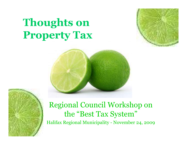# **Thoughts on Property Tax**







### Regional Council Workshop on the "Best Tax System"

Halifax Regional Municipality - November 24, 2009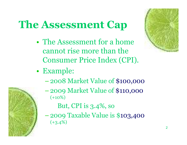# **The Assessment Cap**

- The Assessment for a home cannot rise more than the Consumer Price Index (CPI).
- Example:
	- –2008 Market Value of \$100,000
	- –2009 Market Value of \$110,000  $(+10%)$ 
		- But, CPI is 3.4%, so
	- –2009 Taxable Value is \$103,400  $(+3.4\%)$



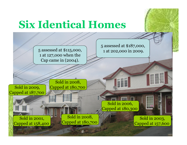# **Six Identical Homes**

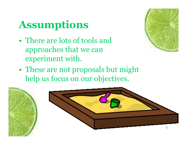# **Assumptions**

• There are lots of tools and approaches that we can experiment with.



• These are not proposals but might help us focus on our objectives.

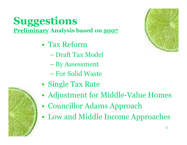### **Suggestions Preliminary Analysis based on 2007**

- Tax Reform
	- Draft Tax Model
	- –By Assessment
	- –For Solid Waste
- Single Tax Rate
- Adjustment for Middle-Value Homes
- Councillor Adams Approach
- Low and Middle Income Approaches



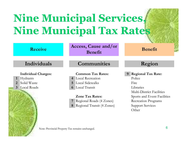# **Nine Municipal Services, Nine Municipal Tax Rates**

| <b>Receive</b>                       | Access, Cause and/or<br>Benefit                                                       | <b>Benefit</b>                                                                                                                    |
|--------------------------------------|---------------------------------------------------------------------------------------|-----------------------------------------------------------------------------------------------------------------------------------|
| Individuals                          | <b>Communities</b>                                                                    | Region                                                                                                                            |
| <b>Individual Charges:</b>           | <b>Common Tax Rates:</b>                                                              | <b>Regional Tax Rate:</b>                                                                                                         |
| Hydrants<br>$\mathbf{1}$             | <b>Local Recreation</b>                                                               | Police                                                                                                                            |
| Solid Waste<br>2                     | Local Sidewalks<br>5 <sup>1</sup>                                                     | Fire                                                                                                                              |
| <b>Local Roads</b><br>3 <sup>1</sup> | Local Transit<br>6                                                                    | Libraries                                                                                                                         |
|                                      | <b>Zone Tax Rates:</b><br>Regional Roads (4 Zones)<br>Regional Transit (4 Zones)<br>8 | <b>Multi-District Facilities</b><br>Sports and Event Facilities<br><b>Recreation Programs</b><br><b>Support Services</b><br>Other |
|                                      | Note: Provincial Property Tax remains unchanged.                                      | 6                                                                                                                                 |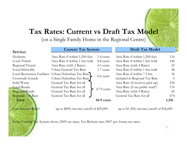### **Tax Rates: Current vs Draft Tax Model**

(on a Single Family Home in the Regional Centre)

#### **Current Tax System Draft Tax Model**

#### **Service:**

| Hydrants                           | Area Rate if within 1,200 feet | 1.4 cents   | Area Rate if within 1,200 feet  | 116            |
|------------------------------------|--------------------------------|-------------|---------------------------------|----------------|
| Local Transit                      | Area Rate if within 1 km walk  | 8.8 cents   | Area Rate if within 1 km walk   | 140            |
| Regional Transit                   | Area Rate (with 2 Rates)       | 4.5 cents   | Area Rate (with 4 Rates)        | 25             |
| Local Sidewalks                    | Urban General Tax Rate         | 1.7 cents   | Area Rate if within 1 km walk   | 48             |
| <b>Local Recreation Facilities</b> | Urban/Suburban Tax Rate        | $0.6$ cents | Area Rate if within 7.5 km      | 36             |
| Crosswalk Guards                   | Urban/Suburban Tax Rate        |             | included in Regional Tax Rate   | $\overline{0}$ |
| Solid Waste                        | General Tax Rate for all       |             | Area Rate (if receives pick-up) | 256            |
| <b>Local Roads</b>                 | General Tax Rate for all       | 67.9 cents  | Area Rate (if on public road*)  | 176            |
| <b>Regional Roads</b>              | General Tax Rate for all       |             | Area Rate (with 4 Rates)        | 45             |
| <b>Regional Tax Rate</b>           | General Tax Rate for all       |             | General Tax Rate for all        | 474            |
| Total                              |                                | 84.9 cents  |                                 | 1,316          |

Low Income Relief

up to  $$850$ , income cutoff of  $$29,000$  up to  $$1,300$ , income cutoff of  $$36,600$ 

Note: Current Tax System shows 2009 tax rates, Tax Reform uses 2007 pro forma tax rates.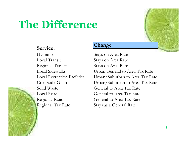# **The Difference**



Hydrants Stays on Area Rate Local Transit Stays on Area Rate Regional Transit Stays on Area Rate Solid Waste **General** to Area Tax Rate Local Roads General to Area Tax Rate Regional Tax Rate Stays as a General Rate

#### **Change**

Local Sidewalks Urban General to Area Tax Rate Local Recreation Facilities Urban/Suburban to Area Tax Rate Crosswalk Guards Urban/Suburban to Area Tax Rate Regional Roads **General to Area Tax Rate** 

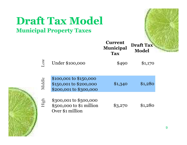### **Draft Tax Model Municipal Property Taxes**

|        |                                                                            | <b>Current</b><br><b>Municipal</b><br><b>Tax</b> | <b>Draft Tax</b><br>Model |  |
|--------|----------------------------------------------------------------------------|--------------------------------------------------|---------------------------|--|
| Low    | Under \$100,000                                                            | \$490                                            | \$1,170                   |  |
| Middle | \$100,001 to \$150,000<br>\$150,001 to \$200,000<br>\$200,001 to \$300,000 | \$1,340                                          | \$1,280                   |  |
| High   | \$300,001 to \$500,000<br>\$500,000 to \$1 million<br>Over \$1 million     | \$3,270                                          | \$1,280                   |  |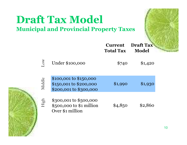### **Draft Tax Model Municipal and Provincial Property Taxes**

|           |                                                                            | <b>Current</b><br><b>Total Tax</b> | <b>Draft Tax</b><br><b>Model</b> |  |
|-----------|----------------------------------------------------------------------------|------------------------------------|----------------------------------|--|
| <b>WO</b> | Under \$100,000                                                            | \$740                              | \$1,420                          |  |
| Middle    | \$100,001 to \$150,000<br>\$150,001 to \$200,000<br>\$200,001 to \$300,000 | \$1,990                            | \$1,930                          |  |
| High      | \$300,001 to \$500,000<br>\$500,000 to \$1 million<br>Over \$1 million     | \$4,850                            | \$2,860                          |  |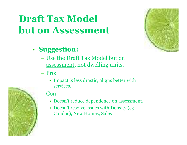### **Draft Tax Model but on Assessment**

### • **Suggestion:**

- Use the Draft Tax Model but on assessment, not dwelling units.
- Pro:
	- Impact is less drastic, aligns better with services.

### Con:

- Doesn't reduce dependence on assessment.
- Doesn't resolve issues with Density (eg Condos), New Homes, Sales



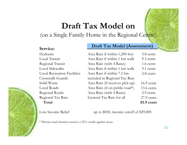### **Draft Tax Model on**

(on a Single Family Home in the Regional Centre)

#### **Service:**

#### **Draft Tax Model (Assessment)**

| Area Rate if within 1,200 feet  | 5.8 cents    |
|---------------------------------|--------------|
| Area Rate if within 1 km walk   | 9.3 cents    |
| Area Rate (with 4 Rates)        | 1.6 cents    |
| Area Rate if within 1 km walk   | 3.1 cents    |
| Area Rate if within 7.5 km      | 2.8 cents    |
| included in Regional Tax Rate   |              |
| Area Rate (if receives pick-up) | 16.9 cents   |
| Area Rate (if on public road*)  | $13.6$ cents |
| Area Rate (with 4 Rates)        | 2.9 cents    |
| General Tax Rate for all        | 27.9 cents   |
|                                 | 83.9 cents   |
|                                 |              |

Low Income Relief

up to \$850, income cutoff of \$29,000

12

\* Private road abutters receive a 25% credit against taxes.

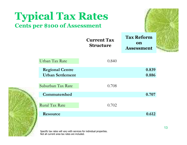| <b>Typical Tax Rates</b><br><b>Cents per \$100 of Assessment</b> |                                        |                                              |     |
|------------------------------------------------------------------|----------------------------------------|----------------------------------------------|-----|
|                                                                  | <b>Current Tax</b><br><b>Structure</b> | <b>Tax Reform</b><br>on<br><b>Assessment</b> |     |
| Urban Tax Rate                                                   | 0.840                                  |                                              |     |
| <b>Regional Centre</b><br><b>Urban Settlement</b>                |                                        | 0.839<br>0.886                               |     |
| Suburban Tax Rate                                                | 0.708                                  |                                              |     |
| Commutershed                                                     |                                        | 0.707                                        |     |
| <b>Rural Tax Rate</b>                                            | 0.702                                  |                                              |     |
| Resource                                                         |                                        | 0.612                                        |     |
|                                                                  |                                        |                                              | 10. |

Specific tax rates will vary with services for individual properties. Not all current area tax rates are included.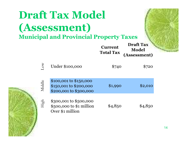### **Draft Tax Model (Assessment) Municipal and Provincial Property Taxes Current Total Tax Draft Tax Model (Assessment)**  $\frac{2}{5}$  Under \$100,000 \$740 \$720 \$100,001 to \$150,000 \$150,001 to \$200,000 \$200,001 to \$300,000 \$300,001 to \$500,000 \$500,000 to \$1 million Over \$1 million  $$1,990$   $$2,010$ Higg<br>Higg  $\mathbf{\Xi}$  $$4,850$   $$4,850$ Middle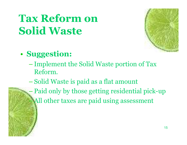# **Tax Reform on Solid Waste**



### • **Suggestion:**

- –Implement the Solid Waste portion of Tax Reform.
- –Solid Waste is paid as a flat amount
	- Paid only by those getting residential pick-up –All other taxes are paid using assessment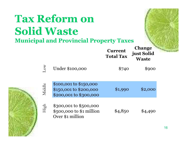|        | <b>Tax Reform on</b><br><b>Solid Waste</b><br><b>Municipal and Provincial Property Taxes</b> |                                    |                                             |
|--------|----------------------------------------------------------------------------------------------|------------------------------------|---------------------------------------------|
|        |                                                                                              | <b>Current</b><br><b>Total Tax</b> | <b>Change</b><br>just Solid<br><b>Waste</b> |
| WO     | Under \$100,000                                                                              | \$740                              | \$900                                       |
| Middle | \$100,001 to \$150,000<br>\$150,001 to \$200,000<br>\$200,001 to \$300,000                   | \$1,990                            | \$2,000                                     |
| High   | \$300,001 to \$500,000<br>\$500,000 to \$1 million<br>Over \$1 million                       | \$4,850                            | \$4,490                                     |
|        |                                                                                              |                                    |                                             |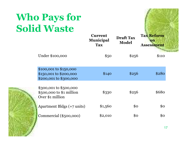# **Who Pays for Solid Waste**



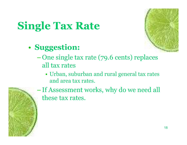

# **Single Tax Rate**

- **Suggestion:**
	- One single tax rate (79.6 cents) replaces all tax rates
		- Urban, suburban and rural general tax rates and area tax rates.



–If Assessment works, why do we need all these tax rates.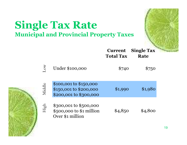### **Single Tax Rate Municipal and Provincial Property Taxes**

| $\infty$ | Under \$100,000                                                            | \$740   | \$750   |
|----------|----------------------------------------------------------------------------|---------|---------|
| Middle   | \$100,001 to \$150,000<br>\$150,001 to \$200,000<br>\$200,001 to \$300,000 | \$1,990 | \$1,980 |
| High     | \$300,001 to \$500,000<br>\$500,000 to \$1 million<br>Over \$1 million     | \$4,850 | \$4,800 |

**Current**

**Single Tax**

**Rate**

**Total Tax**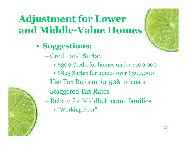## **Adjustment for Lower**  and Middle-Value Homes

- **Suggestions:**
	- –Credit and Surtax
		- \$300 Credit for homes under \$100,000
		- \$825 Surtax for homes over \$300,000
	- Use Tax Reform for 50% of costs
	- –Staggered Tax Rates
	- Rebate for Middle Income families
		- "Working Poor"



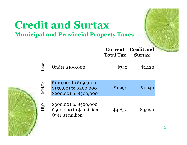### **Credit and Surtax Municipal and Provincial Property Taxes**

|           |                                                                            | vur vur<br><b>Total Tax</b> | vi vuit anu<br><b>Surtax</b> |  |
|-----------|----------------------------------------------------------------------------|-----------------------------|------------------------------|--|
| <b>WO</b> | Under \$100,000                                                            | \$740                       | \$1,120                      |  |
| Middle    | \$100,001 to \$150,000<br>\$150,001 to \$200,000<br>\$200,001 to \$300,000 | \$1,990                     | \$1,940                      |  |
| High      | \$300,001 to \$500,000<br>\$500,000 to \$1 million<br>Over \$1 million     | \$4,850                     | \$3,690                      |  |

**Current**

**Credit and**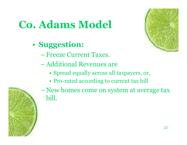# **Co. Adams Model**

### • **Suggestion:**

- –Freeze Current Taxes.
- –Additional Revenues are
	- Spread equally across all taxpayers, or,
	- Pro-rated according to current tax bill





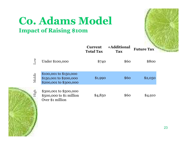### **Co. Adams Model Impact of Raising \$10m**



|        |                                                                            | <b>UULLUID</b><br><b>Total Tax</b> | тличниша<br><b>Tax</b> | <b>Future Tax</b> |
|--------|----------------------------------------------------------------------------|------------------------------------|------------------------|-------------------|
| Tow    | Under \$100,000                                                            | \$740                              | \$60                   | \$800             |
| Middle | \$100,001 to \$150,000<br>\$150,001 to \$200,000<br>\$200,001 to \$300,000 | \$1,990                            | \$60                   | \$2,0,50          |
| High   | \$300,001 to \$500,000<br>$$500,000$ to $$1$ million<br>Over \$1 million   | \$4,850                            | \$60                   | \$4,910           |

**Current** 

**+Additional**

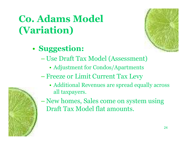## **Co. Adams Model (Variation)**





- Use Draft Tax Model (Assessment)
	- Adjustment for Condos/Apartments
- –Freeze or Limit Current Tax Levy
	- Additional Revenues are spread equally across all taxpayers.



– New homes, Sales come on system using Draft Tax Model flat amounts.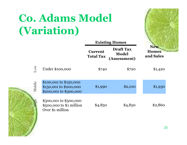# **Co. Adams Model (Variation)**



|           |                                                                            | <b>Existing Homes</b>              |                                                  |                                         |
|-----------|----------------------------------------------------------------------------|------------------------------------|--------------------------------------------------|-----------------------------------------|
|           |                                                                            | <b>Current</b><br><b>Total Tax</b> | <b>Draft Tax</b><br><b>Model</b><br>(Assessment) | <b>New</b><br><b>Homes</b><br>and Sales |
| <b>NO</b> | Under \$100,000                                                            | \$740                              | \$720                                            | \$1,420                                 |
| Middle    | \$100,001 to \$150,000<br>\$150,001 to \$200,000<br>\$200,001 to \$300,000 | \$1,990                            | \$2,010                                          | \$1,930                                 |
| High      | \$300,001 to \$500,000<br>$$500,000$ to $$1$ million<br>Over \$1 million   | \$4,850                            | \$4,850                                          | \$2,860                                 |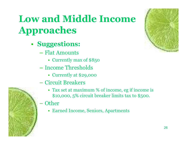# **Low and Middle Income Approaches**

- **Suggestions:**
	- Flat Amounts
		- Currently max of \$850
	- Income Thresholds
		- Currently at \$29,000
	- Circuit Breakers
		- Tax set at maximum % of income, eg if income is \$10,000, 5% circuit breaker limits tax to \$500.
	- **Other** 
		- Earned Income, Seniors, Apartments



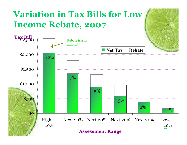#### 27 10% \$0 \$500 \$1,000 \$1,500 \$2,000  $\frac{100}{2,500}$ Highest 10% Next 20% Next 20% Next 20% Next 20% Lowest **Assessment Range Tax Bill** ■ Net Tax □ Rebate **Variation in Tax Bills for Low Income Rebate, 2007** Rebate is a flat amount. 12% 7% 5% 3% 2% 1%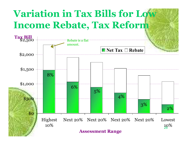# **Variation in Tax Bills for Low Income Rebate, Tax Reform**